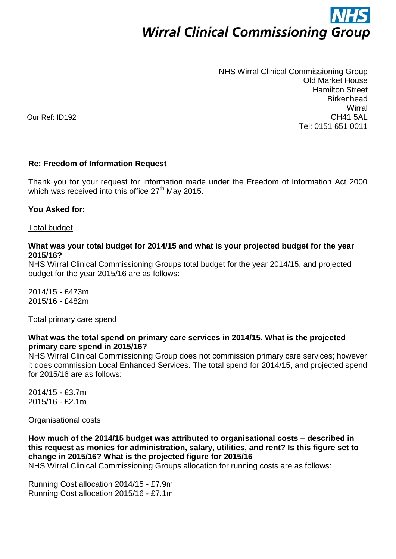# **Wirral Clinical Commissioning Group**

NHS Wirral Clinical Commissioning Group Old Market House Hamilton Street **Birkenhead Wirral** CH41 5AL Tel: 0151 651 0011

Our Ref: ID192

#### **Re: Freedom of Information Request**

Thank you for your request for information made under the Freedom of Information Act 2000 which was received into this office 27<sup>th</sup> May 2015.

#### **You Asked for:**

#### Total budget

#### **What was your total budget for 2014/15 and what is your projected budget for the year 2015/16?**

NHS Wirral Clinical Commissioning Groups total budget for the year 2014/15, and projected budget for the year 2015/16 are as follows:

2014/15 - £473m 2015/16 - £482m

#### Total primary care spend

#### **What was the total spend on primary care services in 2014/15. What is the projected primary care spend in 2015/16?**

NHS Wirral Clinical Commissioning Group does not commission primary care services; however it does commission Local Enhanced Services. The total spend for 2014/15, and projected spend for 2015/16 are as follows:

2014/15 - £3.7m 2015/16 - £2.1m

Organisational costs

**How much of the 2014/15 budget was attributed to organisational costs – described in this request as monies for administration, salary, utilities, and rent? Is this figure set to change in 2015/16? What is the projected figure for 2015/16**

NHS Wirral Clinical Commissioning Groups allocation for running costs are as follows:

Running Cost allocation 2014/15 - £7.9m Running Cost allocation 2015/16 - £7.1m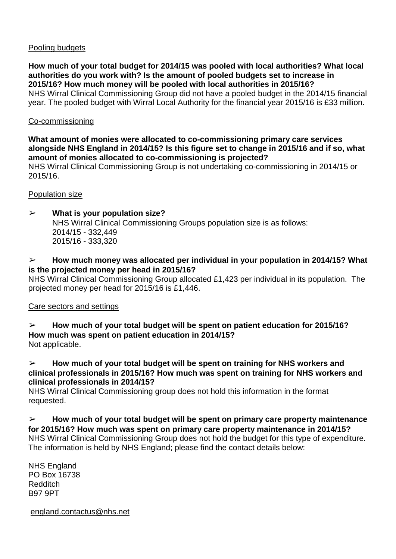#### Pooling budgets

**How much of your total budget for 2014/15 was pooled with local authorities? What local authorities do you work with? Is the amount of pooled budgets set to increase in 2015/16? How much money will be pooled with local authorities in 2015/16?** NHS Wirral Clinical Commissioning Group did not have a pooled budget in the 2014/15 financial year. The pooled budget with Wirral Local Authority for the financial year 2015/16 is £33 million.

#### Co-commissioning

**What amount of monies were allocated to co-commissioning primary care services alongside NHS England in 2014/15? Is this figure set to change in 2015/16 and if so, what amount of monies allocated to co-commissioning is projected?**

NHS Wirral Clinical Commissioning Group is not undertaking co-commissioning in 2014/15 or 2015/16.

#### Population size

➢ **What is your population size?** NHS Wirral Clinical Commissioning Groups population size is as follows: 2014/15 - 332,449 2015/16 - 333,320

#### ➢ **How much money was allocated per individual in your population in 2014/15? What is the projected money per head in 2015/16?**

NHS Wirral Clinical Commissioning Group allocated £1,423 per individual in its population. The projected money per head for 2015/16 is £1,446.

## Care sectors and settings

#### ➢ **How much of your total budget will be spent on patient education for 2015/16? How much was spent on patient education in 2014/15?**

Not applicable.

➢ **How much of your total budget will be spent on training for NHS workers and clinical professionals in 2015/16? How much was spent on training for NHS workers and clinical professionals in 2014/15?**

NHS Wirral Clinical Commissioning group does not hold this information in the format requested.

➢ **How much of your total budget will be spent on primary care property maintenance for 2015/16? How much was spent on primary care property maintenance in 2014/15?** NHS Wirral Clinical Commissioning Group does not hold the budget for this type of expenditure. The information is held by NHS England; please find the contact details below:

NHS England PO Box 16738 Redditch B97 9PT

[england.contactus@nhs.net](mailto:england.contactus@nhs.net)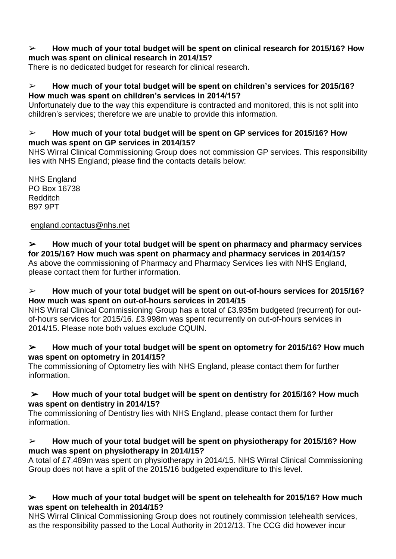#### ➢ **How much of your total budget will be spent on clinical research for 2015/16? How much was spent on clinical research in 2014/15?**

There is no dedicated budget for research for clinical research.

## ➢ **How much of your total budget will be spent on children's services for 2015/16? How much was spent on children's services in 2014/15?**

Unfortunately due to the way this expenditure is contracted and monitored, this is not split into children's services; therefore we are unable to provide this information.

## ➢ **How much of your total budget will be spent on GP services for 2015/16? How much was spent on GP services in 2014/15?**

NHS Wirral Clinical Commissioning Group does not commission GP services. This responsibility lies with NHS England; please find the contacts details below:

NHS England PO Box 16738 Redditch B97 9PT

[england.contactus@nhs.net](mailto:england.contactus@nhs.net)

## ➢ **How much of your total budget will be spent on pharmacy and pharmacy services for 2015/16? How much was spent on pharmacy and pharmacy services in 2014/15?**

As above the commissioning of Pharmacy and Pharmacy Services lies with NHS England, please contact them for further information.

## ➢ **How much of your total budget will be spent on out-of-hours services for 2015/16? How much was spent on out-of-hours services in 2014/15**

NHS Wirral Clinical Commissioning Group has a total of £3.935m budgeted (recurrent) for outof-hours services for 2015/16. £3.998m was spent recurrently on out-of-hours services in 2014/15. Please note both values exclude CQUIN.

## ➢ **How much of your total budget will be spent on optometry for 2015/16? How much was spent on optometry in 2014/15?**

The commissioning of Optometry lies with NHS England, please contact them for further information.

## ➢ **How much of your total budget will be spent on dentistry for 2015/16? How much was spent on dentistry in 2014/15?**

The commissioning of Dentistry lies with NHS England, please contact them for further information.

## ➢ **How much of your total budget will be spent on physiotherapy for 2015/16? How much was spent on physiotherapy in 2014/15?**

A total of £7.489m was spent on physiotherapy in 2014/15. NHS Wirral Clinical Commissioning Group does not have a split of the 2015/16 budgeted expenditure to this level.

## ➢ **How much of your total budget will be spent on telehealth for 2015/16? How much was spent on telehealth in 2014/15?**

NHS Wirral Clinical Commissioning Group does not routinely commission telehealth services, as the responsibility passed to the Local Authority in 2012/13. The CCG did however incur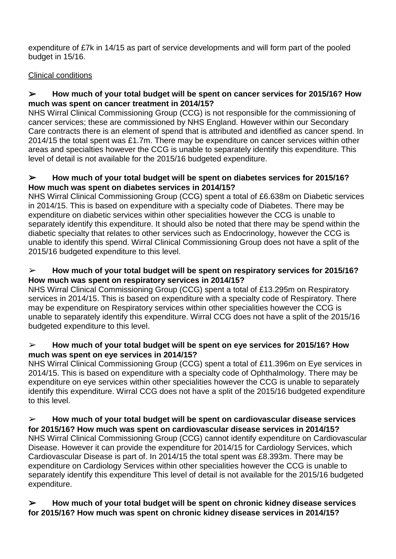expenditure of £7k in 14/15 as part of service developments and will form part of the pooled budget in 15/16.

## Clinical conditions

#### ➢ **How much of your total budget will be spent on cancer services for 2015/16? How much was spent on cancer treatment in 2014/15?**

NHS Wirral Clinical Commissioning Group (CCG) is not responsible for the commissioning of cancer services; these are commissioned by NHS England. However within our Secondary Care contracts there is an element of spend that is attributed and identified as cancer spend. In 2014/15 the total spent was £1.7m. There may be expenditure on cancer services within other areas and specialties however the CCG is unable to separately identify this expenditure. This level of detail is not available for the 2015/16 budgeted expenditure.

#### ➢ **How much of your total budget will be spent on diabetes services for 2015/16? How much was spent on diabetes services in 2014/15?**

NHS Wirral Clinical Commissioning Group (CCG) spent a total of £6.638m on Diabetic services in 2014/15. This is based on expenditure with a specialty code of Diabetes. There may be expenditure on diabetic services within other specialities however the CCG is unable to separately identify this expenditure. It should also be noted that there may be spend within the diabetic specialty that relates to other services such as Endocrinology, however the CCG is unable to identify this spend. Wirral Clinical Commissioning Group does not have a split of the 2015/16 budgeted expenditure to this level.

## ➢ **How much of your total budget will be spent on respiratory services for 2015/16? How much was spent on respiratory services in 2014/15?**

NHS Wirral Clinical Commissioning Group (CCG) spent a total of £13.295m on Respiratory services in 2014/15. This is based on expenditure with a specialty code of Respiratory. There may be expenditure on Respiratory services within other specialities however the CCG is unable to separately identify this expenditure. Wirral CCG does not have a split of the 2015/16 budgeted expenditure to this level.

#### ➢ **How much of your total budget will be spent on eye services for 2015/16? How much was spent on eye services in 2014/15?**

NHS Wirral Clinical Commissioning Group (CCG) spent a total of £11.396m on Eye services in 2014/15. This is based on expenditure with a specialty code of Ophthalmology. There may be expenditure on eye services within other specialities however the CCG is unable to separately identify this expenditure. Wirral CCG does not have a split of the 2015/16 budgeted expenditure to this level.

# ➢ **How much of your total budget will be spent on cardiovascular disease services**

**for 2015/16? How much was spent on cardiovascular disease services in 2014/15?** NHS Wirral Clinical Commissioning Group (CCG) cannot identify expenditure on Cardiovascular Disease. However it can provide the expenditure for 2014/15 for Cardiology Services, which Cardiovascular Disease is part of. In 2014/15 the total spent was £8.393m. There may be expenditure on Cardiology Services within other specialities however the CCG is unable to separately identify this expenditure This level of detail is not available for the 2015/16 budgeted expenditure.

## ➢ **How much of your total budget will be spent on chronic kidney disease services for 2015/16? How much was spent on chronic kidney disease services in 2014/15?**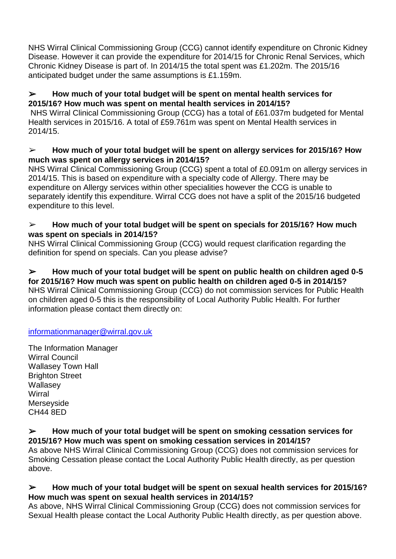NHS Wirral Clinical Commissioning Group (CCG) cannot identify expenditure on Chronic Kidney Disease. However it can provide the expenditure for 2014/15 for Chronic Renal Services, which Chronic Kidney Disease is part of. In 2014/15 the total spent was £1.202m. The 2015/16 anticipated budget under the same assumptions is £1.159m.

#### ➢ **How much of your total budget will be spent on mental health services for 2015/16? How much was spent on mental health services in 2014/15?**

NHS Wirral Clinical Commissioning Group (CCG) has a total of £61.037m budgeted for Mental Health services in 2015/16. A total of £59.761m was spent on Mental Health services in 2014/15.

## ➢ **How much of your total budget will be spent on allergy services for 2015/16? How much was spent on allergy services in 2014/15?**

NHS Wirral Clinical Commissioning Group (CCG) spent a total of £0.091m on allergy services in 2014/15. This is based on expenditure with a specialty code of Allergy. There may be expenditure on Allergy services within other specialities however the CCG is unable to separately identify this expenditure. Wirral CCG does not have a split of the 2015/16 budgeted expenditure to this level.

## ➢ **How much of your total budget will be spent on specials for 2015/16? How much was spent on specials in 2014/15?**

NHS Wirral Clinical Commissioning Group (CCG) would request clarification regarding the definition for spend on specials. Can you please advise?

➢ **How much of your total budget will be spent on public health on children aged 0-5 for 2015/16? How much was spent on public health on children aged 0-5 in 2014/15?** NHS Wirral Clinical Commissioning Group (CCG) do not commission services for Public Health on children aged 0-5 this is the responsibility of Local Authority Public Health. For further information please contact them directly on:

## [informationmanager@wirral.gov.uk](mailto:informationmanager@wirral.gov.uk)

The Information Manager Wirral Council Wallasey Town Hall Brighton Street Wallasey **Wirral** Merseyside CH44 8ED

#### ➢ **How much of your total budget will be spent on smoking cessation services for 2015/16? How much was spent on smoking cessation services in 2014/15?**

As above NHS Wirral Clinical Commissioning Group (CCG) does not commission services for Smoking Cessation please contact the Local Authority Public Health directly, as per question above.

## ➢ **How much of your total budget will be spent on sexual health services for 2015/16? How much was spent on sexual health services in 2014/15?**

As above, NHS Wirral Clinical Commissioning Group (CCG) does not commission services for Sexual Health please contact the Local Authority Public Health directly, as per question above.